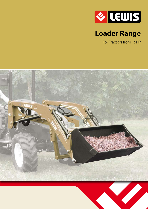

# **Loader Range**

For Tractors from 15HP

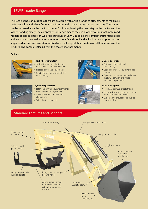### LEWIS Loader Range

The LEWIS range of quickfit loaders are available with a wide range of attachments to maximise their versatility and allow fitment of mid mounted mower decks on most tractors. The loaders can be removed from the tractor in under 2 minutes, leaving the bracketry on the tractor and the loader standing safely. The comprehensive range means there is a loader to suit most makes and models of compact tractor. We pride ourselves at LEWIS as being the compact tractor specialists and we strive to exceed where other equipment falls short. Parallel lift is now an option on our larger loaders and we have standardised our bucket quick hitch system on all loaders above the 15QH to give complete flexibility in the choice of attachments.

#### **Options**



#### **Shock Absorber system**

- To limit the shock to the tractor whilst driving distances with load.
- Protects driver and equipment  $\blacksquare$  Can be turned off to limit soft feel
	- whist loading



#### **Hydraulic Quick Hitch**

- Hitch and unhitch your attachments from the comfort of your seat
- Saves time during attachment change over
- **n** Safety button operated





#### **3 Spool operation**

- $\blacksquare$  3rd service for additional functionality
- $\blacksquare$  Used to drive 4-in-1 buckets/muck grabs etc.
- Operated by independent 3rd spool to allow operation of all three services independently

#### **Parallel lift option**

- Facilitates easy use of pallet forks
- $\blacksquare$  Ensures attachment stays level as the loader is raised and lowered
- System valve ensures good bucket dump angles

### Standard Features and Benefits

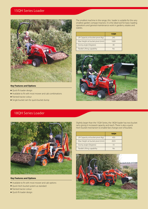### 15QH Series Loader



#### **Key Features and Options**

- Quick fit loader design
- $\blacksquare$  Available to fit with most mower and cab combinations
- $\blacksquare$  Painted tractor colour
- Single bucket ram for quick bucket dump

The smallest machine in the range, this loader is suitable for the very smallest garden compact tractors. It is the ideal tool for basic loading operations and general maintenance work in gardens, estates and stables.

|                                    | <b>15QH</b> |
|------------------------------------|-------------|
| Lift Capacity at bucket pivot (Kg) | 245         |
| Max Height at bucket pivot (mm)    | 1600        |
| Dump angle (Degrees)               | 40          |
| Parallel Lifting capability        | No          |



## 18QH Series Loader



#### **Key Features and Options**

- $\blacksquare$  Available to fit with most mower and cab options
- Quick hitch bucket system as standard
- $\blacksquare$  Painted tractor colour
- Quick fit loader design

Slightly larger than the 15QH Series, the 18QH loader has two bucket rams giving it increased capacity and reach. There is also a quick hitch bucket mechanism to enable fast change over of buckets.

|                                    | 18QH |
|------------------------------------|------|
| Lift Capacity at bucket pivot (Kg) | 450  |
| Max Height at bucket pivot (mm)    | 2025 |
| Dump angle (Degrees)               | 55   |
| Parallel Lifting capability        | Nο   |

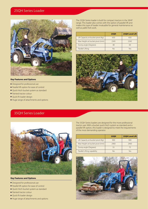### 25QH Series Loader



#### **Key Features and Options**

- $\blacksquare$  Designed for professional use
- Parallel lift option for ease of control
- Quick hitch bucket system as standard
- $\blacksquare$  Painted tractor colour
- Quick fit loader design
- $\blacksquare$  Huge range of attachments and options

#### The 25QH Series loader is built for compact tractors in the 30HP range. This loader also comes with the option of parallel lift and makes this type of loader invaluable for general maintenance as well as pallet fork work.

|                                    | <b>250H</b> | 25QH Level Lift |
|------------------------------------|-------------|-----------------|
| Lift Capacity at bucket pivot (Kg) | 650         | 650             |
| Max Height at bucket pivot (mm)    | 2345        | 2345            |
| Dump angle (Degrees)               | 48          | 60              |
| Parallel Lifting                   | No          | Yρς             |



# 35QH Series Loader



#### **Key Features and Options**

- $\blacksquare$  Designed for professional use
- $\blacksquare$  Parallel lift option for ease of control
- $\blacksquare$  Quick hitch bucket system as standard
- $\blacksquare$  Painted tractor colour
- Quick fit loader design
- $\blacksquare$  Huge range of attachments and options

The 35QH Series loaders are designed for the more professional tractor user. With a bucket quick hitch system as standard and a parallel lift option, this loader is designed to meet the requirements of the most demanding operator.

|                                    | 35QH | 35QH Level Lift |
|------------------------------------|------|-----------------|
| Lift Capacity at bucket pivot (Kg) | 900  | 900             |
| Max Height at bucket pivot (mm)    | 2460 | 2460            |
| Dump angle (Degrees)               | 55   | 75              |
| Parallel Lifting capability        | Nο   | Yes             |

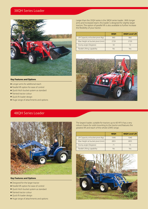### 38QH Series Loader



#### **Key Features and Options**

- **E** Longer arms for additional reach
- Parallel lift option for ease of control
- Quick hitch bucket system as standard
- $\blacksquare$  Painted tractor colour
- Quick fit loader design
- $\blacksquare$  Huge range of attachments and options

48QH Series Loader

#### Larger than the 35QH series is the 38QH series loader. With longer arms and increased reach, this loader is designed for slightly larger tractors. The option of parallel lift is also available to further increase the flexibility of your tractor.

|                                    | 38QH | <b>38QH Level Lift</b> |
|------------------------------------|------|------------------------|
| Lift Capacity at bucket pivot (Kg) | 860  | 860                    |
| Max Height at bucket pivot (mm)    | 2720 | 2720                   |
| Dump angle (Degrees)               | 50   | 72                     |
| Parallel Lifting capability        | Nο   | Yρς                    |





#### **Key Features and Options**

- $\blacksquare$  Designed for the larger tractor
- Parallel lift option for ease of control
- $\blacksquare$  Quick hitch bucket system as standard
- $\blacksquare$  Painted tractor colour
- Quick fit loader design
- Huge range of attachments and options

The largest loader, suitable for tractors up to 60 HP. It has a very robust chassis for solid mounting to the tractor and features the greatest lift and reach of the whole LEWIS range.

|                                    | 48QH | <b>48QH Level Lift</b> |
|------------------------------------|------|------------------------|
| Lift Capacity at bucket pivot (Kg) | 1040 | 1040                   |
| Max Height at bucket pivot (mm)    | 2855 | 2855                   |
| Dump angle (Degrees)               |      | 75                     |
| Parallel Lifting capability        | Nο   | Yes                    |

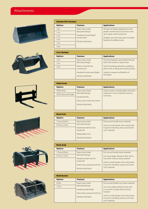# Attachments













| <b>Standard Dirt Buckets</b> |                       |                                                                            |
|------------------------------|-----------------------|----------------------------------------------------------------------------|
| <b>Options</b>               | <b>Features</b>       | <b>Applications</b>                                                        |
| 1.0 <sub>m</sub>             | Heavy duty metal      | All types of loading applications from                                     |
| 1.1 <sub>m</sub>             | fabricated design     | garden maintenance and trench work<br>up to larger scale excavations       |
| 1.2 <sub>m</sub>             | Hardened metal-forged |                                                                            |
| 1.3 <sub>m</sub>             | bucket teeth          | Multiple sizes of buckets give increased<br>flexibility for different jobs |
| 1.5 <sub>m</sub>             | Painted solid black   |                                                                            |
| 1.6m                         |                       |                                                                            |

| <b>4-in1 Buckets</b> |                            |                                              |
|----------------------|----------------------------|----------------------------------------------|
| <b>Options</b>       | <b>Features</b>            | <b>Applications</b>                          |
| 1.2 <sub>m</sub>     | Heavy duty metal           | The third hydraulic spool drives the top     |
| 1.3 <sub>m</sub>     | fabricated design          | half of the bucket to open/close             |
| 1.6m                 | Robust, long life ram      | Used for grading operations, grabbing        |
|                      | construction               | piles of dirt or lifting and carrying duties |
|                      | Hardened metal wear blades | Greatly increases the flexibility of         |
|                      | Painted solid black        | the loader                                   |
|                      |                            |                                              |

| <b>Pallet Forks</b>    |                              |                                          |
|------------------------|------------------------------|------------------------------------------|
| <b>Options</b>         | <b>Features</b>              | <b>Applications</b>                      |
| 180H series            | Heavy duty metal             | Used to load or unload pallets and other |
| 25QH series and larger | fabricated design            | materials or move materials around a     |
|                        | Hardened forks               | work area.                               |
|                        | Heavy duty metal carry frame |                                          |
|                        | Painted solid black          |                                          |
|                        |                              |                                          |

| <b>Muck Fork</b> |                                         |                                                        |
|------------------|-----------------------------------------|--------------------------------------------------------|
| <b>Options</b>   | <b>Features</b>                         | <b>Applications</b>                                    |
| 7 Tines (0.95m)  | Heavy duty metal                        | Pick up and handle loose materials                     |
| 9 Tines (1.25m)  | fabricated design                       | Used on small estates, farm and private                |
|                  | Hardened steel tines for<br>longer life | houses for handling manure and other<br>such materials |
|                  | Replaceable tines                       |                                                        |
|                  | Painted solid black                     |                                                        |

| <b>Muck Grab</b> |                                                                                                                      |                                                                                                                                                                                 |
|------------------|----------------------------------------------------------------------------------------------------------------------|---------------------------------------------------------------------------------------------------------------------------------------------------------------------------------|
| <b>Options</b>   | <b>Features</b>                                                                                                      | <b>Applications</b>                                                                                                                                                             |
| 7 Tines (0.95m)  | Heavy duty metal                                                                                                     | Pick up and handle loose materials                                                                                                                                              |
| 9 Tines (1.25m)  | fabricated design<br>Hardened steel tines for<br>longer life<br>Heavy duty, purpose built ram<br>Painted solid black | Can move larger distances than with a<br>muck fork without losing material<br>Used on small estates, farm and private<br>houses for handling manure and other<br>such materials |

| <b>Multi Bucket</b> |                                                                                                   |                                                                                                                                                                                            |
|---------------------|---------------------------------------------------------------------------------------------------|--------------------------------------------------------------------------------------------------------------------------------------------------------------------------------------------|
| <b>Options</b>      | <b>Features</b>                                                                                   | <b>Applications</b>                                                                                                                                                                        |
| 0.95m               | Heavy duty metal                                                                                  | Pick up and handle very loose materials                                                                                                                                                    |
| 1.25m               | fabricated design<br>Hardened steel blade<br>Heavy duty, purpose built ram<br>Painted solid black | Can move larger distances than with<br>a muck fork or grab without losing<br>material<br>Used on small estates, farm and private<br>houses for handling manure and other<br>such materials |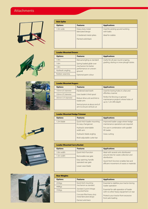# Attachments













| <b>Bale Spike</b>                              |                                       |                                               |  |  |
|------------------------------------------------|---------------------------------------|-----------------------------------------------|--|--|
| <b>Options</b>                                 | <b>Features</b>                       | <b>Applications</b>                           |  |  |
| 1.3m wide                                      | Heavy duty metal<br>fabricated design | Used for picking up and working<br>with bales |  |  |
| 3 Hardened metal spikes<br>Painted solid black |                                       | Ideal for stables                             |  |  |

| <b>Loader Mounted Dozers</b> |                                                                                                              |                                       |  |  |
|------------------------------|--------------------------------------------------------------------------------------------------------------|---------------------------------------|--|--|
| <b>Options</b>               | <b>Features</b>                                                                                              | <b>Applications</b>                   |  |  |
| 1.4m                         | Manual angling as standard                                                                                   | Useful for all year round scraping,   |  |  |
| 1.6m                         | Spring loaded glide-over<br>mechanism for better<br>performance on uneven<br>ground<br>Optional paint colour | grading, dozing or snow plough duties |  |  |
| 1.8 <sub>m</sub>             |                                                                                                              |                                       |  |  |
| Hydraulic angling            |                                                                                                              |                                       |  |  |
| Rubber wearstrip             |                                                                                                              |                                       |  |  |
|                              |                                                                                                              |                                       |  |  |

| <b>Loader Mounted Augers</b>      |                                                              |                                                                                                 |  |  |
|-----------------------------------|--------------------------------------------------------------|-------------------------------------------------------------------------------------------------|--|--|
| <b>Options</b><br><b>Features</b> |                                                              | <b>Applications</b>                                                                             |  |  |
| 150mm (6") diameter               | Hardened steel teeth                                         | Used for boring holes in a fast and                                                             |  |  |
| 230mm (9") diameter               | Uses loader's third spool                                    | effortless manner                                                                               |  |  |
| 305mm (12") diameter              | Robust drive unit and link to<br>loader arm                  | Perfect for fencing or general<br>maintenance projects where holes of<br>up to 1.2m (4ft) depth |  |  |
|                                   | Vertical pivot at about end of<br>arm to ensure vertical cut |                                                                                                 |  |  |

| <b>Loader Mounted Hedge Trimmer</b>                              |                                   |                                                                          |  |  |
|------------------------------------------------------------------|-----------------------------------|--------------------------------------------------------------------------|--|--|
| <b>Options</b>                                                   | <b>Features</b>                   | <b>Applications</b>                                                      |  |  |
| 1.2m blade<br>Quick hitch loader mounting<br>for easy changeover |                                   | Improved loader usage where hedge<br>maintenance operations are required |  |  |
|                                                                  | Hydraulic extendable<br>width arm | For use in combination with parallel<br>lift loader                      |  |  |
| Hydraulic blade angling                                          |                                   | Grass cutting                                                            |  |  |
|                                                                  | Multi adjustable cutter bar       |                                                                          |  |  |

| <b>Loader Mounted Carry Bucket</b>                              |                                                                                   |  |  |  |
|-----------------------------------------------------------------|-----------------------------------------------------------------------------------|--|--|--|
| <b>Features</b>                                                 | <b>Applications</b>                                                               |  |  |  |
| Quick hitch function                                            | Ideal with several units distributed                                              |  |  |  |
| Removable rear gate                                             | around sites for waste collection and<br>distribution                             |  |  |  |
| Easy opening, handle<br>operated rear gate<br>I ower wear blade | Quick hitch function enables fast and<br>efficient movement of waste or materials |  |  |  |
|                                                                 |                                                                                   |  |  |  |

| <b>Rear Weights</b>               |                                                                              |                                                                                                                                                   |  |  |
|-----------------------------------|------------------------------------------------------------------------------|---------------------------------------------------------------------------------------------------------------------------------------------------|--|--|
| <b>Options</b><br><b>Features</b> |                                                                              | <b>Applications</b>                                                                                                                               |  |  |
| 235Kgs                            | Quick hitch mounting                                                         | Essential to stabilise your tractor during<br>loader operation<br>Essential for safe operation of loader<br>with no other heavy equipment on rear |  |  |
| 448Kgs                            | mechanism as standard                                                        |                                                                                                                                                   |  |  |
| 735Kgs                            | Standard 3-point linkage<br>mounted frame                                    |                                                                                                                                                   |  |  |
|                                   | Concrete filled heavy duty<br>metal fabricated design<br>Painted solid black | Protects your tractor from excessive<br>front axle loading                                                                                        |  |  |